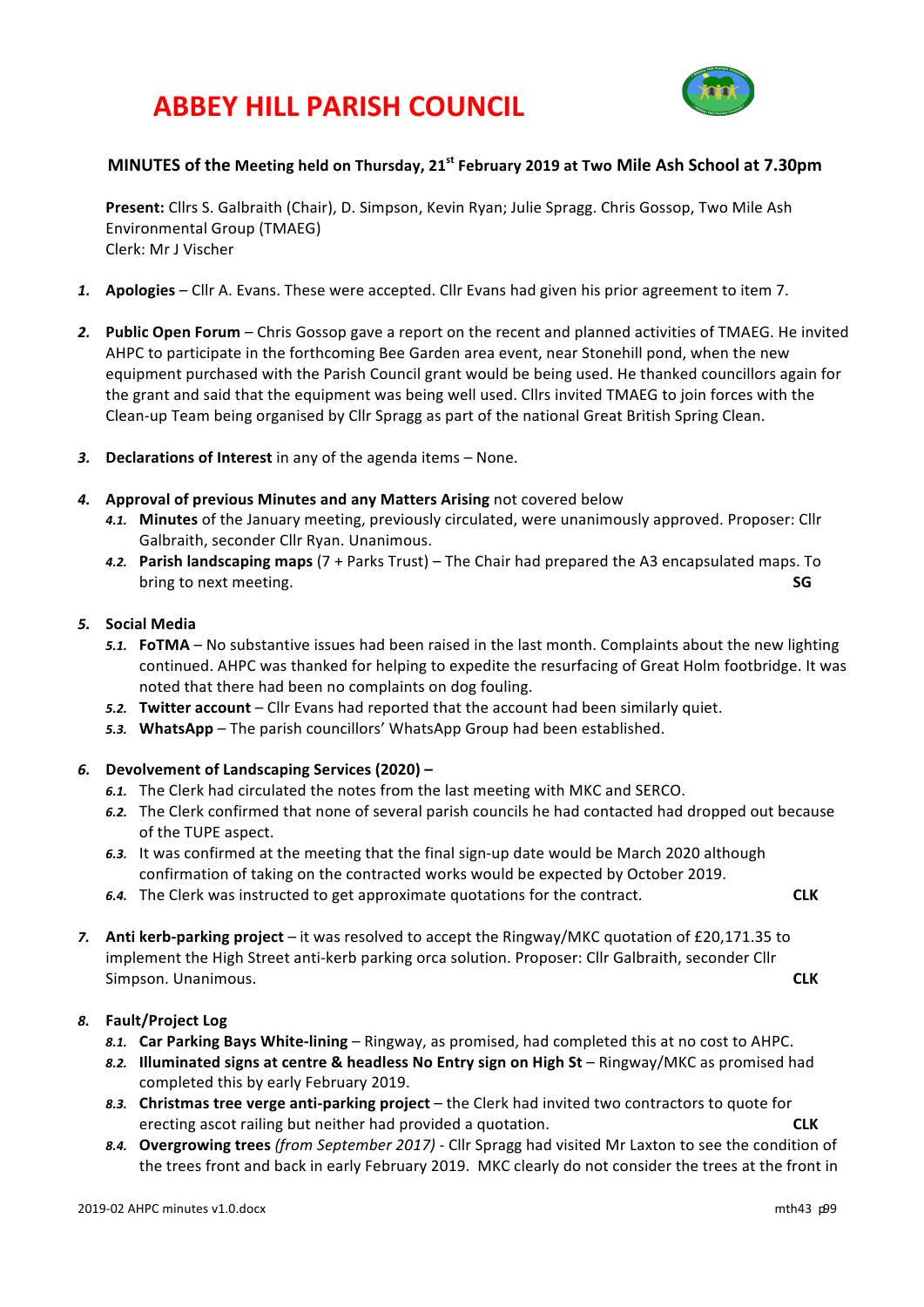# **ABBEY HILL PARISH COUNCIL**



## **MINUTES** of the Meeting held on Thursday, 21<sup>st</sup> February 2019 at Two Mile Ash School at 7.30pm

Present: Cllrs S. Galbraith (Chair), D. Simpson, Kevin Ryan; Julie Spragg. Chris Gossop, Two Mile Ash Environmental Group (TMAEG) Clerk: Mr J Vischer

- 1. **Apologies** Cllr A. Evans. These were accepted. Cllr Evans had given his prior agreement to item 7.
- 2. **Public Open Forum** Chris Gossop gave a report on the recent and planned activities of TMAEG. He invited AHPC to participate in the forthcoming Bee Garden area event, near Stonehill pond, when the new equipment purchased with the Parish Council grant would be being used. He thanked councillors again for the grant and said that the equipment was being well used. Cllrs invited TMAEG to join forces with the Clean-up Team being organised by Cllr Spragg as part of the national Great British Spring Clean.
- 3. **Declarations of Interest** in any of the agenda items None.
- 4. Approval of previous Minutes and any Matters Arising not covered below
	- 4.1. Minutes of the January meeting, previously circulated, were unanimously approved. Proposer: Cllr Galbraith, seconder Cllr Ryan. Unanimous.
	- *4.2.* **Parish landscaping maps** (7 + Parks Trust) – The Chair had prepared the A3 encapsulated maps. To **bring** to next meeting. **SG**

### *5.* **Social Media**

- 5.1. **FoTMA** No substantive issues had been raised in the last month. Complaints about the new lighting continued. AHPC was thanked for helping to expedite the resurfacing of Great Holm footbridge. It was noted that there had been no complaints on dog fouling.
- 5.2. **Twitter account** Cllr Evans had reported that the account had been similarly quiet.
- 5.3. WhatsApp The parish councillors' WhatsApp Group had been established.

## *6.* **Devolvement of Landscaping Services (2020) –**

- 6.1. The Clerk had circulated the notes from the last meeting with MKC and SERCO.
- 6.2. The Clerk confirmed that none of several parish councils he had contacted had dropped out because of the TUPE aspect.
- 6.3. It was confirmed at the meeting that the final sign-up date would be March 2020 although confirmation of taking on the contracted works would be expected by October 2019.
- **6.4.** The Clerk was instructed to get approximate quotations for the contract. **CLK**
- 7. Anti kerb-parking project it was resolved to accept the Ringway/MKC quotation of £20,171.35 to implement the High Street anti-kerb parking orca solution. Proposer: Cllr Galbraith, seconder Cllr Simpson. Unanimous. **CLK**

## *8.* **Fault/Project Log**

- 8.1. **Car Parking Bays White-lining** Ringway, as promised, had completed this at no cost to AHPC.
- 8.2. **Illuminated signs at centre & headless No Entry sign on High St** Ringway/MKC as promised had completed this by early February 2019.
- 8.3. **Christmas tree verge anti-parking project** the Clerk had invited two contractors to quote for erecting ascot railing but neither had provided a quotation. **CLK CLK**
- 8.4. **Overgrowing trees** (from September 2017) Cllr Spragg had visited Mr Laxton to see the condition of the trees front and back in early February 2019. MKC clearly do not consider the trees at the front in